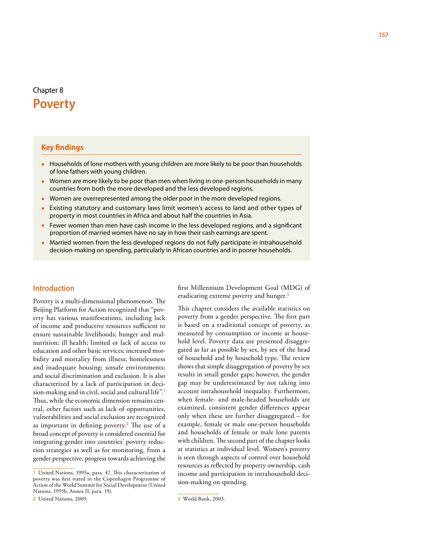# Chapter 8 **Poverty**

# **Key findings**

- Households of lone mothers with young children are more likely to be poor than households of lone fathers with young children.
- Women are more likely to be poor than men when living in one-person households in many countries from both the more developed and the less developed regions.
- Women are overrepresented among the older poor in the more developed regions.
- • Existing statutory and customary laws limit women's access to land and other types of property in most countries in Africa and about half the countries in Asia.
- Fewer women than men have cash income in the less developed regions, and a significant proportion of married women have no say in how their cash earnings are spent.
- Married women from the less developed regions do not fully participate in intrahousehold decision-making on spending, particularly in African countries and in poorer households.

# **Introduction**

Poverty is a multi-dimensional phenomenon. The Beijing Platform for Action recognized that "poverty has various manifestations, including lack of income and productive resources sufficient to ensure sustainable livelihoods; hunger and malnutrition; ill health; limited or lack of access to education and other basic services; increased morbidity and mortality from illness; homelessness and inadequate housing; unsafe environments; and social discrimination and exclusion. It is also characterized by a lack of participation in decision-making and in civil, social and cultural life".**<sup>1</sup>** Thus, while the economic dimension remains central, other factors such as lack of opportunities, vulnerabilities and social exclusion are recognized as important in defining poverty.**<sup>2</sup>** The use of a broad concept of poverty is considered essential for integrating gender into countries' poverty reduction strategies as well as for monitoring, from a gender perspective, progress towards achieving the first Millennium Development Goal (MDG) of eradicating extreme poverty and hunger.**<sup>3</sup>**

This chapter considers the available statistics on poverty from a gender perspective. The first part is based on a traditional concept of poverty, as measured by consumption or income at household level. Poverty data are presented disaggregated as far as possible by sex, by sex of the head of household and by household type. The review shows that simple disaggregation of poverty by sex results in small gender gaps; however, the gender gap may be underestimated by not taking into account intrahousehold inequality. Furthermore, when female- and male-headed households are examined, consistent gender differences appear only when these are further disaggregated – for example, female or male one-person households and households of female or male lone parents with children. The second part of the chapter looks at statistics at individual level. Women's poverty is seen through aspects of control over household resources as reflected by property ownership, cash income and participation in intrahousehold decision-making on spending.

**<sup>1</sup>** United Nations, 1995a, para. 47. This characterization of poverty was first stated in the Copenhagen Programme of Action of the World Summit for Social Development (United Nations, 1995b, Annex II, para. 19).

**<sup>2</sup>** United Nations, 2009.

**<sup>3</sup>** World Bank, 2003.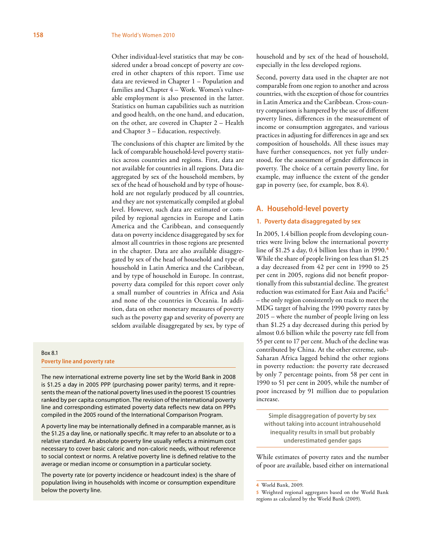Other individual-level statistics that may be considered under a broad concept of poverty are covered in other chapters of this report. Time use data are reviewed in Chapter 1 – Population and families and Chapter 4 – Work. Women's vulnerable employment is also presented in the latter. Statistics on human capabilities such as nutrition and good health, on the one hand, and education, on the other, are covered in Chapter 2 – Health and Chapter 3 – Education, respectively.

The conclusions of this chapter are limited by the lack of comparable household-level poverty statistics across countries and regions. First, data are not available for countries in all regions. Data disaggregated by sex of the household members, by sex of the head of household and by type of household are not regularly produced by all countries, and they are not systematically compiled at global level. However, such data are estimated or compiled by regional agencies in Europe and Latin America and the Caribbean, and consequently data on poverty incidence disaggregated by sex for almost all countries in those regions are presented in the chapter. Data are also available disaggregated by sex of the head of household and type of household in Latin America and the Caribbean, and by type of household in Europe. In contrast, poverty data compiled for this report cover only a small number of countries in Africa and Asia and none of the countries in Oceania. In addition, data on other monetary measures of poverty such as the poverty gap and severity of poverty are seldom available disaggregated by sex, by type of

# Box 8.1 **Poverty line and poverty rate**

The new international extreme poverty line set by the World Bank in 2008 is \$1.25 a day in 2005 PPP (purchasing power parity) terms, and it represents the mean of the national poverty lines used in the poorest 15 countries ranked by per capita consumption. The revision of the international poverty line and corresponding estimated poverty data reflects new data on PPPs compiled in the 2005 round of the International Comparison Program.

A poverty line may be internationally defined in a comparable manner, as is the \$1.25 a day line, or nationally specific. It may refer to an absolute or to a relative standard. An absolute poverty line usually reflects a minimum cost necessary to cover basic caloric and non-caloric needs, without reference to social context or norms. A relative poverty line is defined relative to the average or median income or consumption in a particular society.

The poverty rate (or poverty incidence or headcount index) is the share of population living in households with income or consumption expenditure below the poverty line.

household and by sex of the head of household, especially in the less developed regions.

Second, poverty data used in the chapter are not comparable from one region to another and across countries, with the exception of those for countries in Latin America and the Caribbean. Cross-country comparison is hampered by the use of different poverty lines, differences in the measurement of income or consumption aggregates, and various practices in adjusting for differences in age and sex composition of households. All these issues may have further consequences, not yet fully understood, for the assessment of gender differences in poverty. The choice of a certain poverty line, for example, may influence the extent of the gender gap in poverty (see, for example, box 8.4).

# **A. Household-level poverty**

### **1. Poverty data disaggregated by sex**

In 2005, 1.4 billion people from developing countries were living below the international poverty line of \$1.25 a day, 0.4 billion less than in 1990.**<sup>4</sup>** While the share of people living on less than \$1.25 a day decreased from 42 per cent in 1990 to 25 per cent in 2005, regions did not benefit proportionally from this substantial decline. The greatest reduction was estimated for East Asia and Pacific**<sup>5</sup>** – the only region consistently on track to meet the MDG target of halving the 1990 poverty rates by 2015 – where the number of people living on less than \$1.25 a day decreased during this period by almost 0.6 billion while the poverty rate fell from 55 per cent to 17 per cent. Much of the decline was contributed by China. At the other extreme, sub-Saharan Africa lagged behind the other regions in poverty reduction: the poverty rate decreased by only 7 percentage points, from 58 per cent in 1990 to 51 per cent in 2005, while the number of poor increased by 91 million due to population increase.

**Simple disaggregation of poverty by sex without taking into account intrahousehold inequality results in small but probably underestimated gender gaps**

While estimates of poverty rates and the number of poor are available, based either on international

**<sup>4</sup>** World Bank, 2009.

**<sup>5</sup>** Weighted regional aggregates based on the World Bank regions as calculated by the World Bank (2009).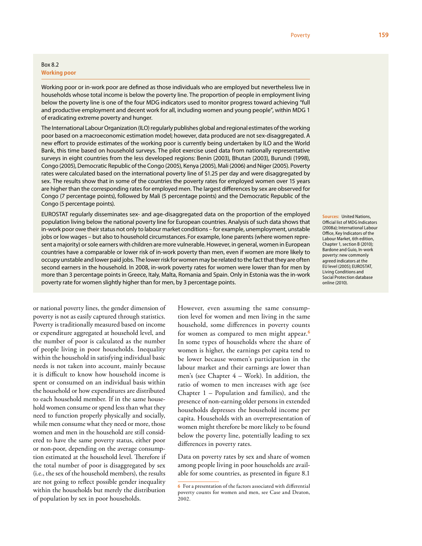# Box 8.2 **Working poor**

Working poor or in-work poor are defined as those individuals who are employed but nevertheless live in households whose total income is below the poverty line. The proportion of people in employment living below the poverty line is one of the four MDG indicators used to monitor progress toward achieving "full and productive employment and decent work for all, including women and young people", within MDG 1 of eradicating extreme poverty and hunger.

The International Labour Organization (ILO) regularly publishes global and regional estimates of the working poor based on a macroeconomic estimation model; however, data produced are not sex-disaggregated. A new effort to provide estimates of the working poor is currently being undertaken by ILO and the World Bank, this time based on household surveys. The pilot exercise used data from nationally representative surveys in eight countries from the less developed regions: Benin (2003), Bhutan (2003), Burundi (1998), Congo (2005), Democratic Republic of the Congo (2005), Kenya (2005), Mali (2006) and Niger (2005). Poverty rates were calculated based on the international poverty line of \$1.25 per day and were disaggregated by sex. The results show that in some of the countries the poverty rates for employed women over 15 years are higher than the corresponding rates for employed men. The largest differences by sex are observed for Congo (7 percentage points), followed by Mali (5 percentage points) and the Democratic Republic of the Congo (5 percentage points).

EUROSTAT regularly disseminates sex- and age-disaggregated data on the proportion of the employed population living below the national poverty line for European countries. Analysis of such data shows that in-work poor owe their status not only to labour market conditions – for example, unemployment, unstable jobs or low wages – but also to household circumstances. For example, lone parents (where women represent a majority) or sole earners with children are more vulnerable. However, in general, women in European countries have a comparable or lower risk of in-work poverty than men, even if women are more likely to occupy unstable and lower paid jobs. The lower risk for women may be related to the fact that they are often second earners in the household. In 2008, in-work poverty rates for women were lower than for men by more than 3 percentage points in Greece, Italy, Malta, Romania and Spain. Only in Estonia was the in-work poverty rate for women slightly higher than for men, by 3 percentage points.

**Sources:** United Nations, Official list of MDG Indicators (2008a); International Labour Office, Key Indicators of the Labour Market, 6th edition, Chapter 1, section B (2010); Bardone and Guio, In-work poverty: new commonly agreed indicators at the EU level (2005); EUROSTAT, Living Conditions and Social Protection database online (2010).

or national poverty lines, the gender dimension of poverty is not as easily captured through statistics. Poverty is traditionally measured based on income or expenditure aggregated at household level, and the number of poor is calculated as the number of people living in poor households. Inequality within the household in satisfying individual basic needs is not taken into account, mainly because it is difficult to know how household income is spent or consumed on an individual basis within the household or how expenditures are distributed to each household member. If in the same household women consume or spend less than what they need to function properly physically and socially, while men consume what they need or more, those women and men in the household are still considered to have the same poverty status, either poor or non-poor, depending on the average consumption estimated at the household level. Therefore if the total number of poor is disaggregated by sex (i.e., the sex of the household members), the results are not going to reflect possible gender inequality within the households but merely the distribution of population by sex in poor households.

However, even assuming the same consumption level for women and men living in the same household, some differences in poverty counts for women as compared to men might appear.**<sup>6</sup>** In some types of households where the share of women is higher, the earnings per capita tend to be lower because women's participation in the labour market and their earnings are lower than men's (see Chapter 4 – Work). In addition, the ratio of women to men increases with age (see Chapter 1 – Population and families), and the presence of non-earning older persons in extended households depresses the household income per capita. Households with an overrepresentation of women might therefore be more likely to be found below the poverty line, potentially leading to sex differences in poverty rates.

Data on poverty rates by sex and share of women among people living in poor households are available for some countries, as presented in figure 8.1

**<sup>6</sup>** For a presentation of the factors associated with differential poverty counts for women and men, see Case and Deaton, 2002.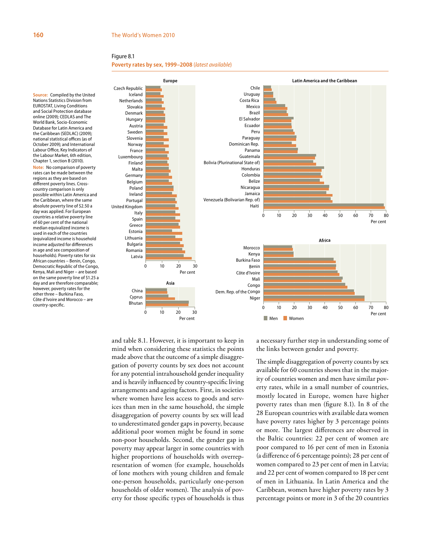#### **Poverty rates by sex, 1999–2008** (*latest available*)

**Source:** Compiled by the United Nations Statistics Division from EUROSTAT, Living Conditions and Social Protection database online (2009); CEDLAS and The World Bank, Socio-Economic Database for Latin America and the Caribbean (SEDLAC) (2009); national statistical offices (as of October 2009); and International Labour Office, Key Indicators of the Labour Market, 6th edition, Chapter 1, section B (2010). **Note:** No comparison of poverty rates can be made between the regions as they are based on different poverty lines. Crosscountry comparison is only possible within Latin America and the Caribbean, where the same absolute poverty line of \$2.50 a day was applied. For European countries a relative poverty line of 60 per cent of the national median equivalized income is used in each of the countries (equivalized income is household income adjusted for differences in age and sex composition of households). Poverty rates for six African countries – Benin, Congo, Democratic Republic of the Congo, Kenya, Mali and Niger – are based on the same poverty line of \$1.25 a day and are therefore comparable; however, poverty rates for the other three – Burkina Faso, Côte d'Ivoire and Morocco – are country-specific.



and table 8.1. However, it is important to keep in mind when considering these statistics the points made above that the outcome of a simple disaggregation of poverty counts by sex does not account for any potential intrahousehold gender inequality and is heavily influenced by country-specific living arrangements and ageing factors. First, in societies where women have less access to goods and services than men in the same household, the simple disaggregation of poverty counts by sex will lead to underestimated gender gaps in poverty, because additional poor women might be found in some non-poor households. Second, the gender gap in poverty may appear larger in some countries with higher proportions of households with overrepresentation of women (for example, households of lone mothers with young children and female one-person households, particularly one-person households of older women). The analysis of poverty for those specific types of households is thus a necessary further step in understanding some of the links between gender and poverty.

The simple disaggregation of poverty counts by sex available for 60 countries shows that in the majority of countries women and men have similar poverty rates, while in a small number of countries, mostly located in Europe, women have higher poverty rates than men (figure 8.1). In 8 of the 28 European countries with available data women have poverty rates higher by 3 percentage points or more. The largest differences are observed in the Baltic countries: 22 per cent of women are poor compared to 16 per cent of men in Estonia (a difference of 6 percentage points); 28 per cent of women compared to 23 per cent of men in Latvia; and 22 per cent of women compared to 18 per cent of men in Lithuania. In Latin America and the Caribbean, women have higher poverty rates by 3 percentage points or more in 3 of the 20 countries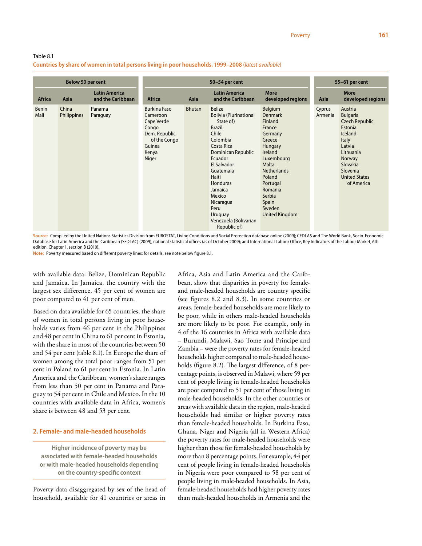# Table 8.1 **Countries by share of women in total persons living in poor households, 1999–2008** (*latest available*)

| Below 50 per cent    |                      | 50-54 per cent                            |                                                                                                                     |               |                                                                                                                                                                                                                                                                                                        | 55-61 per cent                                                                                                                                                                                                                       |                   |                                                                                                                                                                                                 |
|----------------------|----------------------|-------------------------------------------|---------------------------------------------------------------------------------------------------------------------|---------------|--------------------------------------------------------------------------------------------------------------------------------------------------------------------------------------------------------------------------------------------------------------------------------------------------------|--------------------------------------------------------------------------------------------------------------------------------------------------------------------------------------------------------------------------------------|-------------------|-------------------------------------------------------------------------------------------------------------------------------------------------------------------------------------------------|
| <b>Africa</b>        | <b>Asia</b>          | <b>Latin America</b><br>and the Caribbean | <b>Africa</b>                                                                                                       | Asia          | <b>Latin America</b><br>and the Caribbean                                                                                                                                                                                                                                                              | <b>More</b><br>developed regions                                                                                                                                                                                                     | <b>Asia</b>       | <b>More</b><br>developed regions                                                                                                                                                                |
| <b>Benin</b><br>Mali | China<br>Philippines | Panama<br>Paraguay                        | <b>Burkina Faso</b><br>Cameroon<br>Cape Verde<br>Congo<br>Dem. Republic<br>of the Congo<br>Guinea<br>Kenya<br>Niger | <b>Bhutan</b> | <b>Belize</b><br><b>Bolivia (Plurinational</b><br>State of)<br><b>Brazil</b><br>Chile<br>Colombia<br>Costa Rica<br>Dominican Republic<br>Ecuador<br>El Salvador<br>Guatemala<br>Haiti<br><b>Honduras</b><br>Jamaica<br>Mexico<br>Nicaragua<br>Peru<br>Uruguay<br>Venezuela (Bolivarian<br>Republic of) | Belgium<br><b>Denmark</b><br>Finland<br>France<br>Germany<br>Greece<br>Hungary<br><b>Ireland</b><br>Luxembourg<br><b>Malta</b><br><b>Netherlands</b><br>Poland<br>Portugal<br>Romania<br>Serbia<br>Spain<br>Sweden<br>United Kingdom | Cyprus<br>Armenia | Austria<br><b>Bulgaria</b><br><b>Czech Republic</b><br>Estonia<br><b>Iceland</b><br><b>Italy</b><br>Latvia<br>Lithuania<br>Norway<br>Slovakia<br>Slovenia<br><b>United States</b><br>of America |

**Source:** Compiled by the United Nations Statistics Division from EUROSTAT, Living Conditions and Social Protection database online (2009); CEDLAS and The World Bank, Socio-Economic Database for Latin America and the Caribbean (SEDLAC) (2009); national statistical offices (as of October 2009); and International Labour Office, Key Indicators of the Labour Market, 6th edition, Chapter 1, section B (2010).

**Note:** Poverty measured based on different poverty lines; for details, see note below figure 8.1.

with available data: Belize, Dominican Republic and Jamaica. In Jamaica, the country with the largest sex difference, 45 per cent of women are poor compared to 41 per cent of men.

Based on data available for 65 countries, the share of women in total persons living in poor households varies from 46 per cent in the Philippines and 48 per cent in China to 61 per cent in Estonia, with the share in most of the countries between 50 and 54 per cent (table 8.1). In Europe the share of women among the total poor ranges from 51 per cent in Poland to 61 per cent in Estonia. In Latin America and the Caribbean, women's share ranges from less than 50 per cent in Panama and Paraguay to 54 per cent in Chile and Mexico. In the 10 countries with available data in Africa, women's share is between 48 and 53 per cent.

# **2. Female- and male-headed households**

**Higher incidence of poverty may be associated with female-headed households or with male-headed households depending on the country-specific context**

Poverty data disaggregated by sex of the head of household, available for 41 countries or areas in

Africa, Asia and Latin America and the Caribbean, show that disparities in poverty for femaleand male-headed households are country specific (see figures 8.2 and 8.3). In some countries or areas, female-headed households are more likely to be poor, while in others male-headed households are more likely to be poor. For example, only in 4 of the 16 countries in Africa with available data – Burundi, Malawi, Sao Tome and Principe and Zambia – were the poverty rates for female-headed households higher compared to male-headed households (figure 8.2). The largest difference, of 8 percentage points, is observed in Malawi, where 59 per cent of people living in female-headed households are poor compared to 51 per cent of those living in male-headed households. In the other countries or areas with available data in the region, male-headed households had similar or higher poverty rates than female-headed households. In Burkina Faso, Ghana, Niger and Nigeria (all in Western Africa) the poverty rates for male-headed households were higher than those for female-headed households by more than 8 percentage points. For example, 44 per cent of people living in female-headed households in Nigeria were poor compared to 58 per cent of people living in male-headed households. In Asia, female-headed households had higher poverty rates than male-headed households in Armenia and the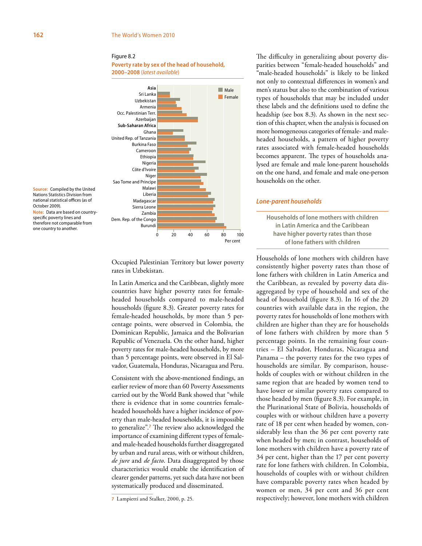**Poverty rate by sex of the head of household, 2000–2008** (*latest available*)



**Source:** Compiled by the United Nations Statistics Division from national statistical offices (as of October 2009). **Note:** Data are based on countryspecific poverty lines and therefore not comparable from one country to another.

> Occupied Palestinian Territory but lower poverty rates in Uzbekistan.

> In Latin America and the Caribbean, slightly more countries have higher poverty rates for femaleheaded households compared to male-headed households (figure 8.3). Greater poverty rates for female-headed households, by more than 5 percentage points, were observed in Colombia, the Dominican Republic, Jamaica and the Bolivarian Republic of Venezuela. On the other hand, higher poverty rates for male-headed households, by more than 5 percentage points, were observed in El Salvador, Guatemala, Honduras, Nicaragua and Peru.

> Consistent with the above-mentioned findings, an earlier review of more than 60 Poverty Assessments carried out by the World Bank showed that "while there is evidence that in some countries femaleheaded households have a higher incidence of poverty than male-headed households, it is impossible to generalize".**<sup>7</sup>** The review also acknowledged the importance of examining different types of femaleand male-headed households further disaggregated by urban and rural areas, with or without children, *de jure* and *de facto*. Data disaggregated by those characteristics would enable the identification of clearer gender patterns, yet such data have not been systematically produced and disseminated.

The difficulty in generalizing about poverty disparities between "female-headed households" and "male-headed households" is likely to be linked not only to contextual differences in women's and men's status but also to the combination of various types of households that may be included under these labels and the definitions used to define the headship (see box 8.3). As shown in the next section of this chapter, when the analysis is focused on more homogeneous categories of female- and maleheaded households, a pattern of higher poverty rates associated with female-headed households becomes apparent. The types of households analysed are female and male lone-parent households on the one hand, and female and male one-person households on the other.

### *Lone-parent households*

**Households of lone mothers with children in Latin America and the Caribbean have higher poverty rates than those of lone fathers with children**

Households of lone mothers with children have consistently higher poverty rates than those of lone fathers with children in Latin America and the Caribbean, as revealed by poverty data disaggregated by type of household and sex of the head of household (figure 8.3). In 16 of the 20 countries with available data in the region, the poverty rates for households of lone mothers with children are higher than they are for households of lone fathers with children by more than 5 percentage points. In the remaining four countries – El Salvador, Honduras, Nicaragua and Panama – the poverty rates for the two types of households are similar. By comparison, households of couples with or without children in the same region that are headed by women tend to have lower or similar poverty rates compared to those headed by men (figure 8.3). For example, in the Plurinational State of Bolivia, households of couples with or without children have a poverty rate of 18 per cent when headed by women, considerably less than the 36 per cent poverty rate when headed by men; in contrast, households of lone mothers with children have a poverty rate of 34 per cent, higher than the 17 per cent poverty rate for lone fathers with children. In Colombia, households of couples with or without children have comparable poverty rates when headed by women or men, 34 per cent and 36 per cent respectively; however, lone mothers with children

**<sup>7</sup>** Lampietti and Stalker, 2000, p. 25.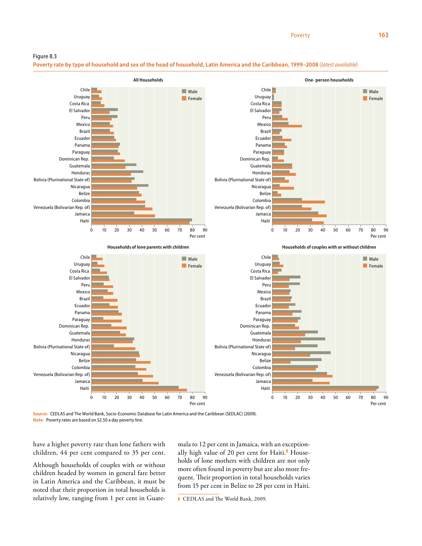**Poverty rate by type of household and sex of the head of household, Latin America and the Caribbean, 1999–2008** (*latest available*)



**Source:** CEDLAS and The World Bank, Socio-Economic Database for Latin America and the Caribbean (SEDLAC) (2009). **Note:** Poverty rates are based on \$2.50 a day poverty line.

have a higher poverty rate than lone fathers with children, 44 per cent compared to 35 per cent.

Although households of couples with or without children headed by women in general fare better in Latin America and the Caribbean, it must be noted that their proportion in total households is relatively low, ranging from 1 per cent in Guatemala to 12 per cent in Jamaica, with an exceptionally high value of 20 per cent for Haiti.**8** Households of lone mothers with children are not only more often found in poverty but are also more frequent. Their proportion in total households varies from 15 per cent in Belize to 28 per cent in Haiti.

**8** CEDLAS and The World Bank, 2009.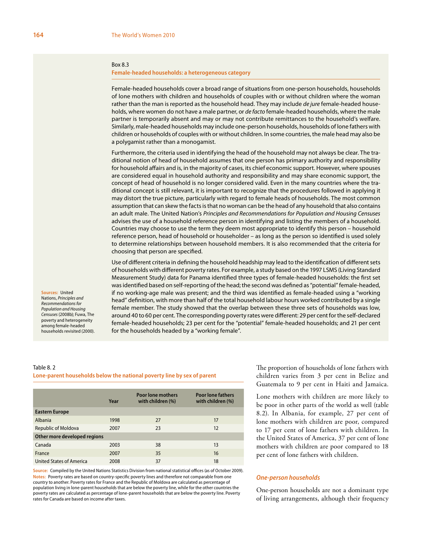### Box 8.3

**Female-headed households: a heterogeneous category**

Female-headed households cover a broad range of situations from one-person households, households of lone mothers with children and households of couples with or without children where the woman rather than the man is reported as the household head. They may include *de jure* female-headed households, where women do not have a male partner, or *de facto* female-headed households, where the male partner is temporarily absent and may or may not contribute remittances to the household's welfare. Similarly, male-headed households may include one-person households, households of lone fathers with children or households of couples with or without children. In some countries, the male head may also be a polygamist rather than a monogamist.

Furthermore, the criteria used in identifying the head of the household may not always be clear. The traditional notion of head of household assumes that one person has primary authority and responsibility for household affairs and is, in the majority of cases, its chief economic support. However, where spouses are considered equal in household authority and responsibility and may share economic support, the concept of head of household is no longer considered valid. Even in the many countries where the traditional concept is still relevant, it is important to recognize that the procedures followed in applying it may distort the true picture, particularly with regard to female heads of households. The most common assumption that can skew the facts is that no woman can be the head of any household that also contains an adult male. The United Nation's *Principles and Recommendations for Population and Housing Censuses* advises the use of a household reference person in identifying and listing the members of a household. Countries may choose to use the term they deem most appropriate to identify this person – household reference person, head of household or householder – as long as the person so identified is used solely to determine relationships between household members. It is also recommended that the criteria for choosing that person are specified.

Use of different criteria in defining the household headship may lead to the identification of different sets of households with different poverty rates. For example, a study based on the 1997 LSMS (Living Standard Measurement Study) data for Panama identified three types of female-headed households: the first set was identified based on self-reporting of the head; the second was defined as "potential" female-headed, if no working-age male was present; and the third was identified as female-headed using a "working head" definition, with more than half of the total household labour hours worked contributed by a single female member. The study showed that the overlap between these three sets of households was low, around 40 to 60 per cent. The corresponding poverty rates were different: 29 per cent for the self-declared female-headed households; 23 per cent for the "potential" female-headed households; and 21 per cent for the households headed by a "working female".

#### Nations, *Principles and Recommendations for Population and Housing Censuses* (2008b); Fuwa, The poverty and heterogeneity among female-headed households revisited (2000).

**Sources:** United

# Table 8. 2 **Lone-parent households below the national poverty line by sex of parent**

|                              | Year | <b>Poor lone mothers</b><br>with children (%) | <b>Poor lone fathers</b><br>with children (%) |
|------------------------------|------|-----------------------------------------------|-----------------------------------------------|
| <b>Eastern Europe</b>        |      |                                               |                                               |
| Albania                      | 1998 | 27                                            | 17                                            |
| Republic of Moldova          | 2007 | 23                                            | 12                                            |
| Other more developed regions |      |                                               |                                               |
| Canada                       | 2003 | 38                                            | 13                                            |
| France                       | 2007 | 35                                            | 16                                            |
| United States of America     | 2008 | 37                                            | 18                                            |

**Source:** Compiled by the United Nations Statistics Division from national statistical offices (as of October 2009). **Notes:** Poverty rates are based on country-specific poverty lines and therefore not comparable from one country to another. Poverty rates for France and the Republic of Moldova are calculated as percentage of population living in lone-parent households that are below the poverty line, while for the other countries the poverty rates are calculated as percentage of lone-parent households that are below the poverty line. Poverty rates for Canada are based on income after taxes.

The proportion of households of lone fathers with children varies from 3 per cent in Belize and Guatemala to 9 per cent in Haiti and Jamaica.

Lone mothers with children are more likely to be poor in other parts of the world as well (table 8.2). In Albania, for example, 27 per cent of lone mothers with children are poor, compared to 17 per cent of lone fathers with children. In the United States of America, 37 per cent of lone mothers with children are poor compared to 18 per cent of lone fathers with children.

# *One-person households*

One-person households are not a dominant type of living arrangements, although their frequency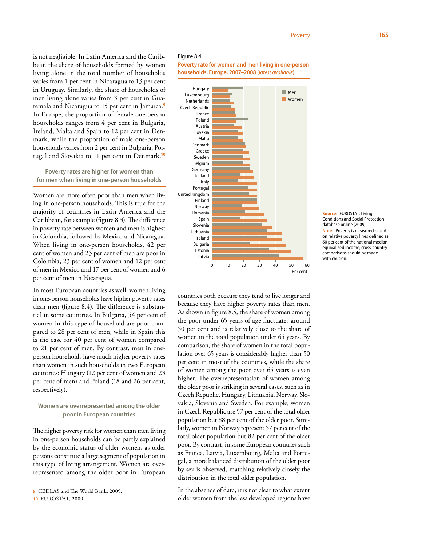**Poverty rate for women and men living in one-person households, Europe, 2007–2008** (*latest available*)

is not negligible. In Latin America and the Caribbean the share of households formed by women living alone in the total number of households varies from 1 per cent in Nicaragua to 13 per cent in Uruguay. Similarly, the share of households of men living alone varies from 3 per cent in Guatemala and Nicaragua to 15 per cent in Jamaica.**<sup>9</sup>** In Europe, the proportion of female one-person households ranges from 4 per cent in Bulgaria, Ireland, Malta and Spain to 12 per cent in Denmark, while the proportion of male one-person households varies from 2 per cent in Bulgaria, Portugal and Slovakia to 11 per cent in Denmark.**<sup>10</sup>**

**Poverty rates are higher for women than for men when living in one-person households**

Women are more often poor than men when living in one-person households. This is true for the majority of countries in Latin America and the Caribbean, for example (figure 8.3). The difference in poverty rate between women and men is highest in Colombia, followed by Mexico and Nicaragua. When living in one-person households, 42 per cent of women and 23 per cent of men are poor in Colombia, 23 per cent of women and 12 per cent of men in Mexico and 17 per cent of women and 6 per cent of men in Nicaragua.

In most European countries as well, women living in one-person households have higher poverty rates than men (figure 8.4). The difference is substantial in some countries. In Bulgaria, 54 per cent of women in this type of household are poor compared to 28 per cent of men, while in Spain this is the case for 40 per cent of women compared to 21 per cent of men. By contrast, men in oneperson households have much higher poverty rates than women in such households in two European countries: Hungary (12 per cent of women and 23 per cent of men) and Poland (18 and 26 per cent, respectively).

**Women are overrepresented among the older poor in European countries**

The higher poverty risk for women than men living in one-person households can be partly explained by the economic status of older women, as older persons constitute a large segment of population in this type of living arrangement. Women are overrepresented among the older poor in European

**10** EUROSTAT, 2009.

0 10 20 30 40 50 60 Per cent Men Women Latvia Estonia Bulgaria Ireland Lithuania Slovenia Spain Romania Norway Finland United Kingdom **Portugal** Italy Iceland Germany Belgium Sweden Greece Denmark Malta Slovakia Austria Poland France Czech Republic **Netherlands** Luxembourg Hungary

**Source:** EUROSTAT, Living Conditions and Social Protection database online (2009). **Note:** Poverty is measured based on relative poverty lines defined as 60 per cent of the national median equivalized income; cross-country comparisons should be made with caution.

countries both because they tend to live longer and because they have higher poverty rates than men. As shown in figure 8.5, the share of women among the poor under 65 years of age fluctuates around 50 per cent and is relatively close to the share of women in the total population under 65 years. By comparison, the share of women in the total population over 65 years is considerably higher than 50 per cent in most of the countries, while the share of women among the poor over 65 years is even higher. The overrepresentation of women among the older poor is striking in several cases, such as in Czech Republic, Hungary, Lithuania, Norway, Slovakia, Slovenia and Sweden. For example, women in Czech Republic are 57 per cent of the total older population but 88 per cent of the older poor. Similarly, women in Norway represent 57 per cent of the total older population but 82 per cent of the older poor. By contrast, in some European countries such as France, Latvia, Luxembourg, Malta and Portugal, a more balanced distribution of the older poor by sex is observed, matching relatively closely the distribution in the total older population.

In the absence of data, it is not clear to what extent older women from the less developed regions have



**<sup>9</sup>** CEDLAS and The World Bank, 2009.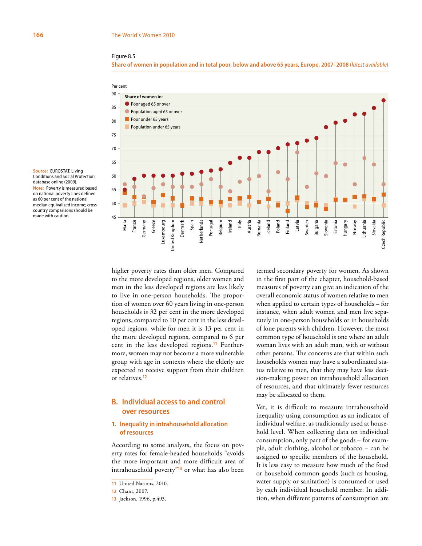

**Share of women in population and in total poor, below and above 65 years, Europe, 2007–2008** (*latest available*)



**Source:** EUROSTAT, Living Conditions and Social Protection database online (2009). **Note:** Poverty is measured based on national poverty lines defined as 60 per cent of the national median equivalized income; crosscountry comparisons should be made with caution.

> higher poverty rates than older men. Compared to the more developed regions, older women and men in the less developed regions are less likely to live in one-person households. The proportion of women over 60 years living in one-person households is 32 per cent in the more developed regions, compared to 10 per cent in the less developed regions, while for men it is 13 per cent in the more developed regions, compared to 6 per cent in the less developed regions.**11** Furthermore, women may not become a more vulnerable group with age in contexts where the elderly are expected to receive support from their children or relatives.**<sup>12</sup>**

# **B. Individual access to and control over resources**

# **1. Inequality in intrahousehold allocation of resources**

According to some analysts, the focus on poverty rates for female-headed households "avoids the more important and more difficult area of intrahousehold poverty"**<sup>13</sup>** or what has also been

termed secondary poverty for women. As shown in the first part of the chapter, household-based measures of poverty can give an indication of the overall economic status of women relative to men when applied to certain types of households – for instance, when adult women and men live separately in one-person households or in households of lone parents with children. However, the most common type of household is one where an adult woman lives with an adult man, with or without other persons. The concerns are that within such households women may have a subordinated status relative to men, that they may have less decision-making power on intrahousehold allocation of resources, and that ultimately fewer resources may be allocated to them.

Yet, it is difficult to measure intrahousehold inequality using consumption as an indicator of individual welfare, as traditionally used at household level. When collecting data on individual consumption, only part of the goods – for example, adult clothing, alcohol or tobacco – can be assigned to specific members of the household. It is less easy to measure how much of the food or household common goods (such as housing, water supply or sanitation) is consumed or used by each individual household member. In addition, when different patterns of consumption are

**<sup>11</sup>** United Nations, 2010.

**<sup>12</sup>** Chant, 2007.

**<sup>13</sup>** Jackson, 1996, p.493.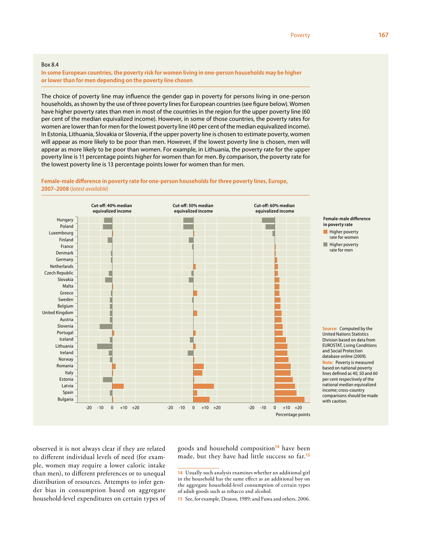### Box 8.4

**In some European countries, the poverty risk for women living in one-person households may be higher or lower than for men depending on the poverty line chosen**

The choice of poverty line may influence the gender gap in poverty for persons living in one-person households, as shown by the use of three poverty lines for European countries (see figure below). Women have higher poverty rates than men in most of the countries in the region for the upper poverty line (60 per cent of the median equivalized income). However, in some of those countries, the poverty rates for women are lower than for men for the lowest poverty line (40 per cent of the median equivalized income). In Estonia, Lithuania, Slovakia or Slovenia, if the upper poverty line is chosen to estimate poverty, women will appear as more likely to be poor than men. However, if the lowest poverty line is chosen, men will appear as more likely to be poor than women. For example, in Lithuania, the poverty rate for the upper poverty line is 11 percentage points higher for women than for men. By comparison, the poverty rate for the lowest poverty line is 13 percentage points lower for women than for men.



**Female-male difference in poverty rate for one-person households for three poverty lines, Europe, 2007–2008** (*latest available*)

observed it is not always clear if they are related to different individual levels of need (for example, women may require a lower caloric intake than men), to different preferences or to unequal distribution of resources. Attempts to infer gender bias in consumption based on aggregate household-level expenditures on certain types of goods and household composition**<sup>14</sup>** have been made, but they have had little success so far.**<sup>15</sup>**

**15** See, for example, Deaton, 1989; and Fuwa and others, 2006.

**<sup>14</sup>** Usually such analysis examines whether an additional girl in the household has the same effect as an additional boy on the aggregate household-level consumption of certain types of adult goods such as tobacco and alcohol.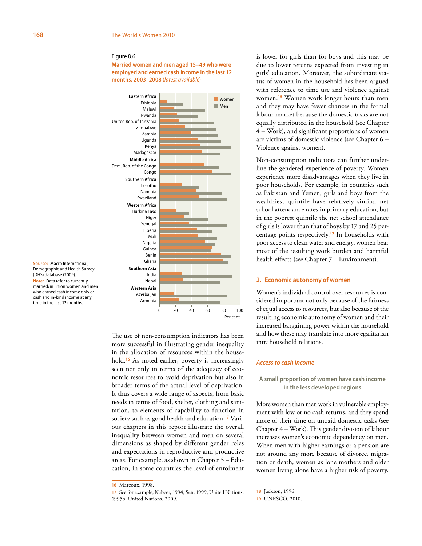**Married women and men aged 15–49 who were employed and earned cash income in the last 12 months, 2003–2008** (*latest available*)



**Source:** Macro International, Demographic and Health Survey (DHS) database (2009). **Note:** Data refer to currently married/in union women and men who earned cash income only or cash and in-kind income at any time in the last 12 months.

> The use of non-consumption indicators has been more successful in illustrating gender inequality in the allocation of resources within the household.**<sup>16</sup>** As noted earlier, poverty is increasingly seen not only in terms of the adequacy of economic resources to avoid deprivation but also in broader terms of the actual level of deprivation. It thus covers a wide range of aspects, from basic needs in terms of food, shelter, clothing and sanitation, to elements of capability to function in society such as good health and education.**17** Various chapters in this report illustrate the overall inequality between women and men on several dimensions as shaped by different gender roles and expectations in reproductive and productive areas. For example, as shown in Chapter 3 – Education, in some countries the level of enrolment

is lower for girls than for boys and this may be due to lower returns expected from investing in girls' education. Moreover, the subordinate status of women in the household has been argued with reference to time use and violence against women.**<sup>18</sup>** Women work longer hours than men and they may have fewer chances in the formal labour market because the domestic tasks are not equally distributed in the household (see Chapter 4 – Work), and significant proportions of women are victims of domestic violence (see Chapter 6 – Violence against women).

Non-consumption indicators can further underline the gendered experience of poverty. Women experience more disadvantages when they live in poor households. For example, in countries such as Pakistan and Yemen, girls and boys from the wealthiest quintile have relatively similar net school attendance rates in primary education, but in the poorest quintile the net school attendance of girls is lower than that of boys by 17 and 25 percentage points respectively.**<sup>19</sup>** In households with poor access to clean water and energy, women bear most of the resulting work burden and harmful health effects (see Chapter 7 – Environment).

### **2. Economic autonomy of women**

Women's individual control over resources is considered important not only because of the fairness of equal access to resources, but also because of the resulting economic autonomy of women and their increased bargaining power within the household and how these may translate into more egalitarian intrahousehold relations.

# *Access to cash income*

**A small proportion of women have cash income in the less developed regions**

More women than men work in vulnerable employment with low or no cash returns, and they spend more of their time on unpaid domestic tasks (see Chapter 4 – Work). This gender division of labour increases women's economic dependency on men. When men with higher earnings or a pension are not around any more because of divorce, migration or death, women as lone mothers and older women living alone have a higher risk of poverty.

**<sup>16</sup>** Marcoux, 1998.

**<sup>17</sup>** See for example, Kabeer, 1994; Sen, 1999; United Nations, 1995b; United Nations, 2009.

**<sup>18</sup>** Jackson, 1996.

**<sup>19</sup>** UNESCO, 2010.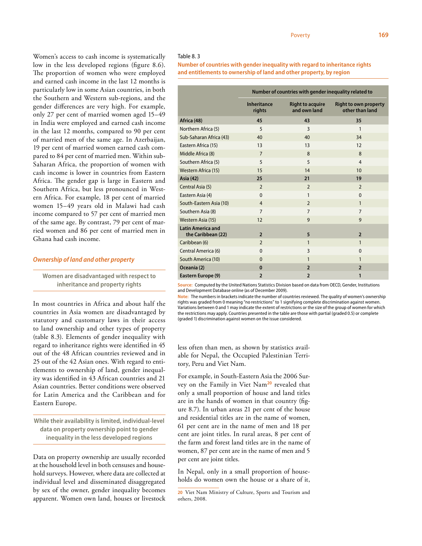# Table 8. 3

**Number of countries with gender inequality with regard to inheritance rights and entitlements to ownership of land and other property, by region**

|                                                | Number of countries with gender inequality related to |                                         |                                                 |  |
|------------------------------------------------|-------------------------------------------------------|-----------------------------------------|-------------------------------------------------|--|
|                                                | <b>Inheritance</b><br>rights                          | <b>Right to acquire</b><br>and own land | <b>Right to own property</b><br>other than land |  |
| Africa (48)                                    | 45                                                    | 43                                      | 35                                              |  |
| Northern Africa (5)                            | 5                                                     | $\overline{3}$                          | $\mathbf{1}$                                    |  |
| Sub-Saharan Africa (43)                        | 40                                                    | 40                                      | 34                                              |  |
| Eastern Africa (15)                            | 13                                                    | 13                                      | 12                                              |  |
| Middle Africa (8)                              | $\overline{7}$                                        | 8                                       | 8                                               |  |
| Southern Africa (5)                            | 5                                                     | 5                                       | $\overline{4}$                                  |  |
| Western Africa (15)                            | 15                                                    | 14                                      | 10                                              |  |
| Asia (42)                                      | 25                                                    | 21                                      | 19                                              |  |
| Central Asia (5)                               | $\overline{2}$                                        | $\overline{2}$                          | $\overline{2}$                                  |  |
| Eastern Asia (4)                               | $\mathbf{0}$                                          | $\mathbf{1}$                            | $\mathbf{0}$                                    |  |
| South-Eastern Asia (10)                        | $\overline{4}$                                        | $\mathcal{L}$                           | $\mathbf{1}$                                    |  |
| Southern Asia (8)                              | $\overline{7}$                                        | $\overline{7}$                          | $\overline{7}$                                  |  |
| Western Asia (15)                              | 12                                                    | 9                                       | 9                                               |  |
| <b>Latin America and</b><br>the Caribbean (22) | $\overline{2}$                                        | 5                                       | $\overline{2}$                                  |  |
| Caribbean (6)                                  | $\overline{2}$                                        | $\mathbf{1}$                            | $\mathbf{1}$                                    |  |
| Central America (6)                            | $\Omega$                                              | 3                                       | $\Omega$                                        |  |
| South America (10)                             | $\mathbf{0}$                                          | $\mathbf{1}$                            | $\mathbf{1}$                                    |  |
| Oceania (2)                                    | $\bf{0}$                                              | $\overline{2}$                          | $\overline{2}$                                  |  |
| Eastern Europe (9)                             | $\overline{2}$                                        | $\overline{2}$                          | $\mathbf{1}$                                    |  |

**Source:** Computed by the United Nations Statistics Division based on data from OECD, Gender, Institutions and Development Database online (as of December 2009).

**Note:** The numbers in brackets indicate the number of countries reviewed. The quality of women's ownership rights was graded from 0 meaning "no restrictions" to 1 signifying complete discrimination against women. Variations between 0 and 1 may indicate the extent of restrictions or the size of the group of women for which the restrictions may apply. Countries presented in the table are those with partial (graded 0.5) or complete (graded 1) discrimination against women on the issue considered.

less often than men, as shown by statistics available for Nepal, the Occupied Palestinian Territory, Peru and Viet Nam.

For example, in South-Eastern Asia the 2006 Survey on the Family in Viet Nam**<sup>20</sup>** revealed that only a small proportion of house and land titles are in the hands of women in that country (figure 8.7). In urban areas 21 per cent of the house and residential titles are in the name of women, 61 per cent are in the name of men and 18 per cent are joint titles. In rural areas, 8 per cent of the farm and forest land titles are in the name of women, 87 per cent are in the name of men and 5 per cent are joint titles.

In Nepal, only in a small proportion of households do women own the house or a share of it,

Women's access to cash income is systematically low in the less developed regions (figure 8.6). The proportion of women who were employed and earned cash income in the last 12 months is particularly low in some Asian countries, in both the Southern and Western sub-regions, and the gender differences are very high. For example, only 27 per cent of married women aged 15–49 in India were employed and earned cash income in the last 12 months, compared to 90 per cent of married men of the same age. In Azerbaijan, 19 per cent of married women earned cash compared to 84 per cent of married men. Within sub-Saharan Africa, the proportion of women with cash income is lower in countries from Eastern Africa. The gender gap is large in Eastern and Southern Africa, but less pronounced in Western Africa. For example, 18 per cent of married women 15–49 years old in Malawi had cash income compared to 57 per cent of married men of the same age. By contrast, 79 per cent of married women and 86 per cent of married men in Ghana had cash income.

### *Ownership of land and other property*

**Women are disadvantaged with respect to inheritance and property rights**

In most countries in Africa and about half the countries in Asia women are disadvantaged by statutory and customary laws in their access to land ownership and other types of property (table 8.3). Elements of gender inequality with regard to inheritance rights were identified in 45 out of the 48 African countries reviewed and in 25 out of the 42 Asian ones. With regard to entitlements to ownership of land, gender inequality was identified in 43 African countries and 21 Asian countries. Better conditions were observed for Latin America and the Caribbean and for Eastern Europe.

**While their availability is limited, individual-level data on property ownership point to gender inequality in the less developed regions**

Data on property ownership are usually recorded at the household level in both censuses and household surveys. However, where data are collected at individual level and disseminated disaggregated by sex of the owner, gender inequality becomes apparent. Women own land, houses or livestock

**<sup>20</sup>** Viet Nam Ministry of Culture, Sports and Tourism and others, 2008.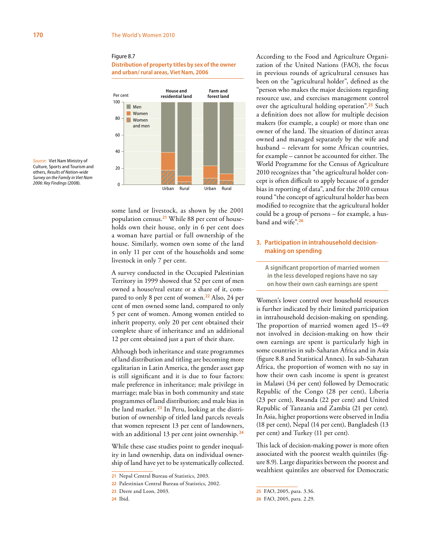**Distribution of property titles by sex of the owner and urban/ rural areas, Viet Nam, 2006**



*Source***:** Viet Nam Ministry of Culture, Sports and Tourism and others, *Results of Nation-wide Survey on the Family in Viet Nam 2006: Key Findings* (2008).

> some land or livestock, as shown by the 2001 population census.**21** While 88 per cent of households own their house, only in 6 per cent does a woman have partial or full ownership of the house. Similarly, women own some of the land in only 11 per cent of the households and some livestock in only 7 per cent.

> A survey conducted in the Occupied Palestinian Territory in 1999 showed that 52 per cent of men owned a house/real estate or a share of it, compared to only 8 per cent of women.**<sup>22</sup>** Also, 24 per cent of men owned some land, compared to only 5 per cent of women. Among women entitled to inherit property, only 20 per cent obtained their complete share of inheritance and an additional 12 per cent obtained just a part of their share.

> Although both inheritance and state programmes of land distribution and titling are becoming more egalitarian in Latin America, the gender asset gap is still significant and it is due to four factors: male preference in inheritance; male privilege in marriage; male bias in both community and state programmes of land distribution; and male bias in the land market. **23** In Peru, looking at the distribution of ownership of titled land parcels reveals that women represent 13 per cent of landowners, with an additional 13 per cent joint ownership.**<sup>24</sup>**

> While these case studies point to gender inequality in land ownership, data on individual ownership of land have yet to be systematically collected.

According to the Food and Agriculture Organization of the United Nations (FAO), the focus in previous rounds of agricultural censuses has been on the "agricultural holder", defined as the "person who makes the major decisions regarding resource use, and exercises management control over the agricultural holding operation".**<sup>25</sup>** Such a definition does not allow for multiple decision makers (for example, a couple) or more than one owner of the land. The situation of distinct areas owned and managed separately by the wife and husband – relevant for some African countries, for example – cannot be accounted for either. The World Programme for the Census of Agriculture 2010 recognizes that "the agricultural holder concept is often difficult to apply because of a gender bias in reporting of data", and for the 2010 census round "the concept of agricultural holder has been modified to recognize that the agricultural holder could be a group of persons – for example, a husband and wife".**<sup>26</sup>**

# **3. Participation in intrahousehold decisionmaking on spending**

**A significant proportion of married women in the less developed regions have no say on how their own cash earnings are spent**

Women's lower control over household resources is further indicated by their limited participation in intrahousehold decision-making on spending. The proportion of married women aged 15–49 not involved in decision-making on how their own earnings are spent is particularly high in some countries in sub-Saharan Africa and in Asia (figure 8.8 and Statistical Annex). In sub-Saharan Africa, the proportion of women with no say in how their own cash income is spent is greatest in Malawi (34 per cent) followed by Democratic Republic of the Congo (28 per cent), Liberia (23 per cent), Rwanda (22 per cent) and United Republic of Tanzania and Zambia (21 per cent). In Asia, higher proportions were observed in India (18 per cent), Nepal (14 per cent), Bangladesh (13 per cent) and Turkey (11 per cent).

This lack of decision-making power is more often associated with the poorest wealth quintiles (figure 8.9). Large disparities between the poorest and wealthiest quintiles are observed for Democratic

**<sup>21</sup>** Nepal Central Bureau of Statistics, 2003.

**<sup>22</sup>** Palestinian Central Bureau of Statistics, 2002.

**<sup>23</sup>** Deere and Leon, 2003.

**<sup>24</sup>** Ibid.

**<sup>25</sup>** FAO, 2005, para. 3.36.

**<sup>26</sup>** FAO, 2005, para. 2.29.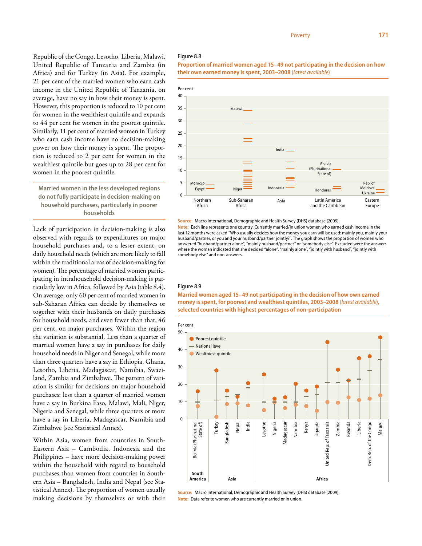Republic of the Congo, Lesotho, Liberia, Malawi, United Republic of Tanzania and Zambia (in Africa) and for Turkey (in Asia). For example, 21 per cent of the married women who earn cash income in the United Republic of Tanzania, on average, have no say in how their money is spent. However, this proportion is reduced to 10 per cent for women in the wealthiest quintile and expands to 44 per cent for women in the poorest quintile. Similarly, 11 per cent of married women in Turkey who earn cash income have no decision-making power on how their money is spent. The proportion is reduced to 2 per cent for women in the wealthiest quintile but goes up to 28 per cent for women in the poorest quintile.

**Married women in the less developed regions do not fully participate in decision-making on household purchases, particularly in poorer households**

Lack of participation in decision-making is also observed with regards to expenditures on major household purchases and, to a lesser extent, on daily household needs (which are more likely to fall within the traditional areas of decision-making for women). The percentage of married women participating in intrahousehold decision-making is particularly low in Africa, followed by Asia (table 8.4). On average, only 60 per cent of married women in sub-Saharan Africa can decide by themselves or together with their husbands on daily purchases for household needs, and even fewer than that, 46 per cent, on major purchases. Within the region the variation is substantial. Less than a quarter of married women have a say in purchases for daily household needs in Niger and Senegal, while more than three quarters have a say in Ethiopia, Ghana, Lesotho, Liberia, Madagascar, Namibia, Swaziland, Zambia and Zimbabwe. The pattern of variation is similar for decisions on major household purchases: less than a quarter of married women have a say in Burkina Faso, Malawi, Mali, Niger, Nigeria and Senegal, while three quarters or more have a say in Liberia, Madagascar, Namibia and Zimbabwe (see Statistical Annex).

Within Asia, women from countries in South-Eastern Asia – Cambodia, Indonesia and the Philippines – have more decision-making power within the household with regard to household purchases than women from countries in Southern Asia – Bangladesh, India and Nepal (see Statistical Annex). The proportion of women usually making decisions by themselves or with their

# Figure 8.8





#### **Source:** Macro International, Demographic and Health Survey (DHS) database (2009).

**Note:** Each line represents one country. Currently married/in union women who earned cash income in the last 12 months were asked "Who usually decides how the money you earn will be used: mainly you, mainly your husband/partner, or you and your husband/partner jointly?". The graph shows the proportion of women who answered "husband/partner alone", "mainly husband/partner" or "somebody else". Excluded were the answers where the woman indicated that she decided "alone", "mainly alone", "jointly with husband", "jointly with somebody else" and non-answers.

#### Figure 8.9

# **Married women aged 15–49 not participating in the decision of how own earned money is spent, for poorest and wealthiest quintiles, 2003–2008** (*latest available*)**, selected countries with highest percentages of non-participation**



**Source:** Macro International, Demographic and Health Survey (DHS) database (2009). **Note:** Data refer to women who are currently married or in union.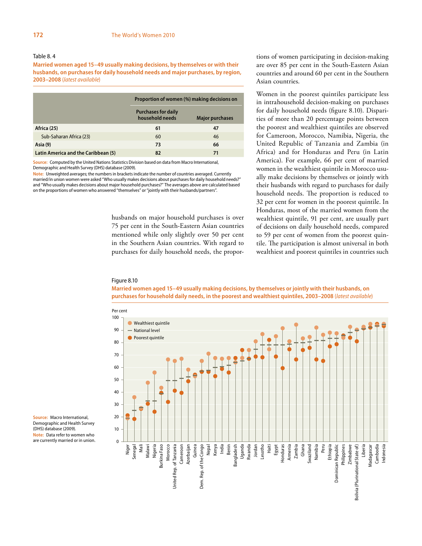# Table 8. 4

**Married women aged 15–49 usually making decisions, by themselves or with their husbands, on purchases for daily household needs and major purchases, by region, 2003–2008** (*latest available*)

|                                     | Proportion of women (%) making decisions on   |                        |  |
|-------------------------------------|-----------------------------------------------|------------------------|--|
|                                     | <b>Purchases for daily</b><br>household needs | <b>Major purchases</b> |  |
| Africa (25)                         | 61                                            | 47                     |  |
| Sub-Saharan Africa (23)             | 60                                            | 46                     |  |
| Asia (9)                            | 73                                            | 66                     |  |
| Latin America and the Caribbean (5) | 82                                            | 71                     |  |

**Source:** Computed by the United Nations Statistics Division based on data from Macro International, Demographic and Health Survey (DHS) database (2009).

**Note:** Unweighted averages; the numbers in brackets indicate the number of countries averaged. Currently married/in union women were asked "Who usually makes decisions about purchases for daily household needs?" and "Who usually makes decisions about major household purchases?" The averages above are calculated based on the proportions of women who answered "themselves" or "jointly with their husbands/partners".

> husbands on major household purchases is over 75 per cent in the South-Eastern Asian countries mentioned while only slightly over 50 per cent in the Southern Asian countries. With regard to purchases for daily household needs, the propor

tions of women participating in decision-making are over 85 per cent in the South-Eastern Asian countries and around 60 per cent in the Southern Asian countries.

Women in the poorest quintiles participate less in intrahousehold decision-making on purchases for daily household needs (figure 8.10). Disparities of more than 20 percentage points between the poorest and wealthiest quintiles are observed for Cameroon, Morocco, Namibia, Nigeria, the United Republic of Tanzania and Zambia (in Africa) and for Honduras and Peru (in Latin America). For example, 66 per cent of married women in the wealthiest quintile in Morocco usually make decisions by themselves or jointly with their husbands with regard to purchases for daily household needs. The proportion is reduced to 32 per cent for women in the poorest quintile. In Honduras, most of the married women from the wealthiest quintile, 91 per cent, are usually part of decisions on daily household needs, compared to 59 per cent of women from the poorest quintile. The participation is almost universal in both wealthiest and poorest quintiles in countries such

#### Figure 8.10

**Married women aged 15–49 usually making decisions, by themselves or jointly with their husbands, on purchases for household daily needs, in the poorest and wealthiest quintiles, 2003–2008** (*latest available*)



**Source:** Macro International, Demographic and Health Survey (DHS) database (2009). **Note:** Data refer to women who are currently married or in union.